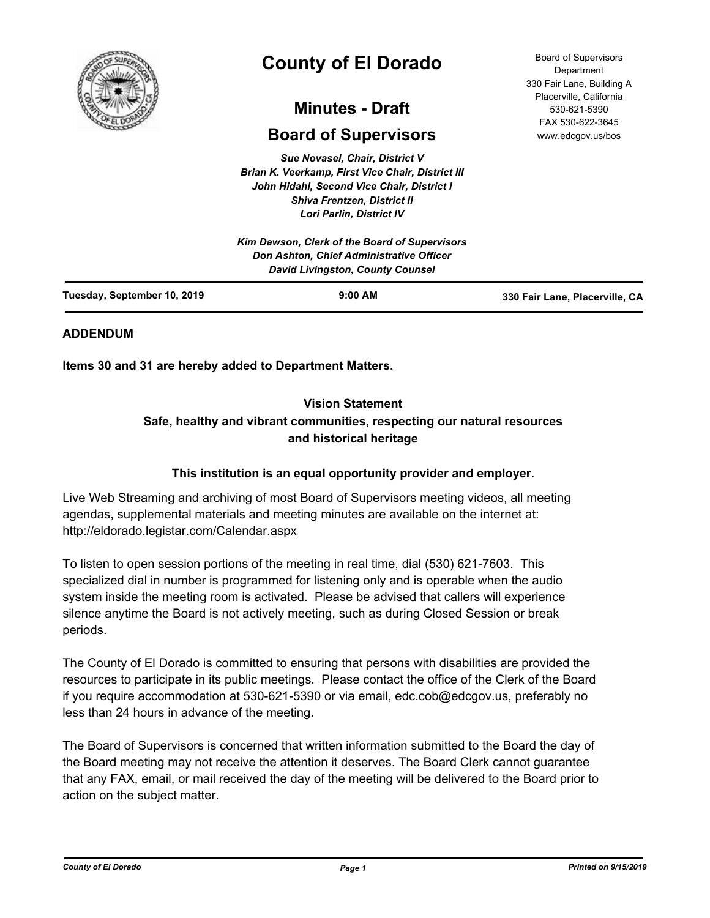

# **County of El Dorado**

## **Minutes - Draft**

## **Board of Supervisors**

*Sue Novasel, Chair, District V Brian K. Veerkamp, First Vice Chair, District III John Hidahl, Second Vice Chair, District I Shiva Frentzen, District II Lori Parlin, District IV*

Board of Supervisors Department 330 Fair Lane, Building A Placerville, California 530-621-5390 FAX 530-622-3645 www.edcgov.us/bos

| Tuesday, September 10, 2019 | $9:00$ AM                                                                                                                            | 330 Fair Lane, Placerville, CA |
|-----------------------------|--------------------------------------------------------------------------------------------------------------------------------------|--------------------------------|
|                             | Kim Dawson, Clerk of the Board of Supervisors<br>Don Ashton, Chief Administrative Officer<br><b>David Livingston, County Counsel</b> |                                |

## **ADDENDUM**

**Items 30 and 31 are hereby added to Department Matters.**

## **Vision Statement Safe, healthy and vibrant communities, respecting our natural resources and historical heritage**

## **This institution is an equal opportunity provider and employer.**

Live Web Streaming and archiving of most Board of Supervisors meeting videos, all meeting agendas, supplemental materials and meeting minutes are available on the internet at: http://eldorado.legistar.com/Calendar.aspx

To listen to open session portions of the meeting in real time, dial (530) 621-7603. This specialized dial in number is programmed for listening only and is operable when the audio system inside the meeting room is activated. Please be advised that callers will experience silence anytime the Board is not actively meeting, such as during Closed Session or break periods.

The County of El Dorado is committed to ensuring that persons with disabilities are provided the resources to participate in its public meetings. Please contact the office of the Clerk of the Board if you require accommodation at 530-621-5390 or via email, edc.cob@edcgov.us, preferably no less than 24 hours in advance of the meeting.

The Board of Supervisors is concerned that written information submitted to the Board the day of the Board meeting may not receive the attention it deserves. The Board Clerk cannot guarantee that any FAX, email, or mail received the day of the meeting will be delivered to the Board prior to action on the subject matter.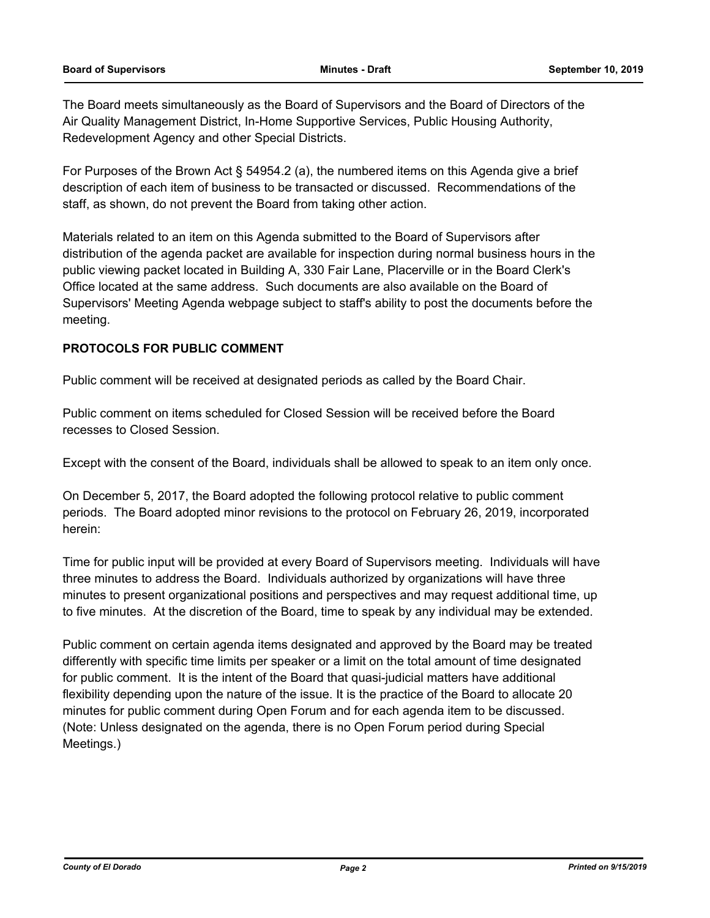The Board meets simultaneously as the Board of Supervisors and the Board of Directors of the Air Quality Management District, In-Home Supportive Services, Public Housing Authority, Redevelopment Agency and other Special Districts.

For Purposes of the Brown Act § 54954.2 (a), the numbered items on this Agenda give a brief description of each item of business to be transacted or discussed. Recommendations of the staff, as shown, do not prevent the Board from taking other action.

Materials related to an item on this Agenda submitted to the Board of Supervisors after distribution of the agenda packet are available for inspection during normal business hours in the public viewing packet located in Building A, 330 Fair Lane, Placerville or in the Board Clerk's Office located at the same address. Such documents are also available on the Board of Supervisors' Meeting Agenda webpage subject to staff's ability to post the documents before the meeting.

## **PROTOCOLS FOR PUBLIC COMMENT**

Public comment will be received at designated periods as called by the Board Chair.

Public comment on items scheduled for Closed Session will be received before the Board recesses to Closed Session.

Except with the consent of the Board, individuals shall be allowed to speak to an item only once.

On December 5, 2017, the Board adopted the following protocol relative to public comment periods. The Board adopted minor revisions to the protocol on February 26, 2019, incorporated herein:

Time for public input will be provided at every Board of Supervisors meeting. Individuals will have three minutes to address the Board. Individuals authorized by organizations will have three minutes to present organizational positions and perspectives and may request additional time, up to five minutes. At the discretion of the Board, time to speak by any individual may be extended.

Public comment on certain agenda items designated and approved by the Board may be treated differently with specific time limits per speaker or a limit on the total amount of time designated for public comment. It is the intent of the Board that quasi-judicial matters have additional flexibility depending upon the nature of the issue. It is the practice of the Board to allocate 20 minutes for public comment during Open Forum and for each agenda item to be discussed. (Note: Unless designated on the agenda, there is no Open Forum period during Special Meetings.)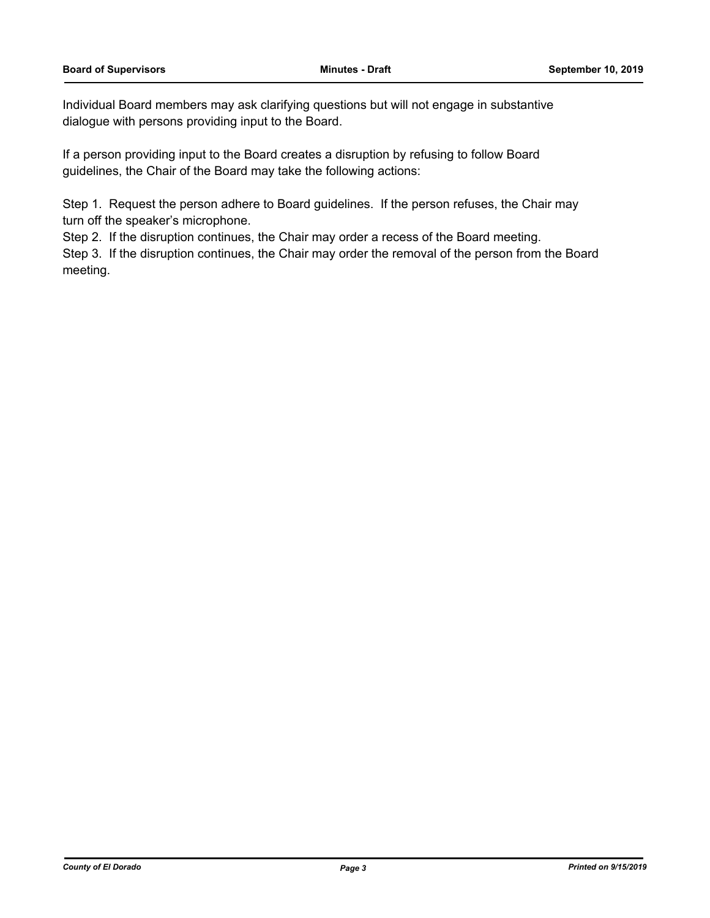Individual Board members may ask clarifying questions but will not engage in substantive dialogue with persons providing input to the Board.

If a person providing input to the Board creates a disruption by refusing to follow Board guidelines, the Chair of the Board may take the following actions:

Step 1. Request the person adhere to Board guidelines. If the person refuses, the Chair may turn off the speaker's microphone.

Step 2. If the disruption continues, the Chair may order a recess of the Board meeting.

Step 3. If the disruption continues, the Chair may order the removal of the person from the Board meeting.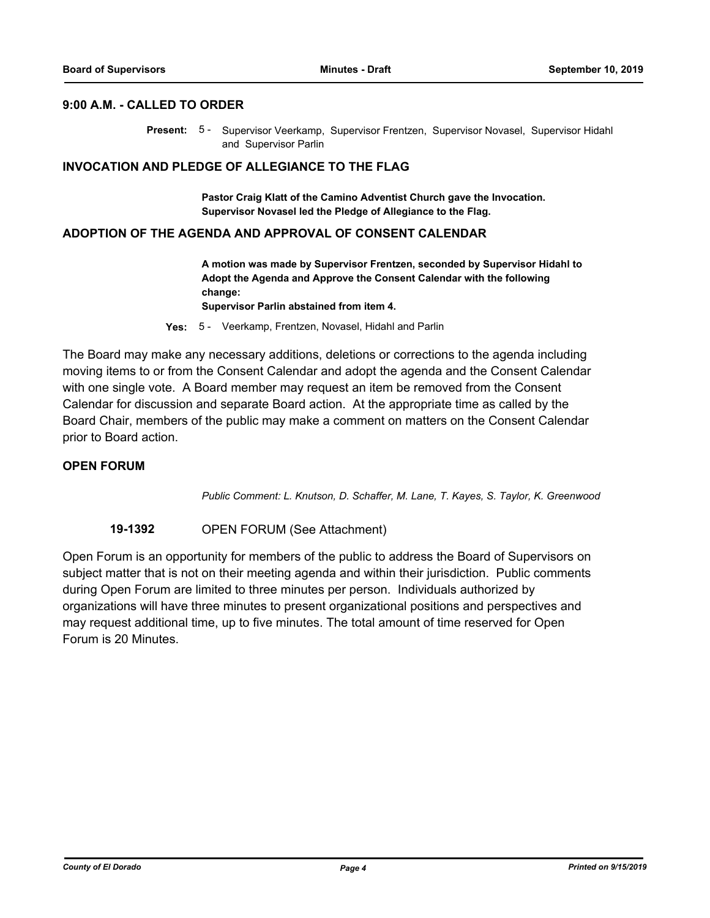#### **9:00 A.M. - CALLED TO ORDER**

Present: 5 - Supervisor Veerkamp, Supervisor Frentzen, Supervisor Novasel, Supervisor Hidahl and Supervisor Parlin

#### **INVOCATION AND PLEDGE OF ALLEGIANCE TO THE FLAG**

**Pastor Craig Klatt of the Camino Adventist Church gave the Invocation. Supervisor Novasel led the Pledge of Allegiance to the Flag.**

#### **ADOPTION OF THE AGENDA AND APPROVAL OF CONSENT CALENDAR**

**A motion was made by Supervisor Frentzen, seconded by Supervisor Hidahl to Adopt the Agenda and Approve the Consent Calendar with the following change:**

**Supervisor Parlin abstained from item 4.**

**Yes:** 5 - Veerkamp, Frentzen, Novasel, Hidahl and Parlin

The Board may make any necessary additions, deletions or corrections to the agenda including moving items to or from the Consent Calendar and adopt the agenda and the Consent Calendar with one single vote. A Board member may request an item be removed from the Consent Calendar for discussion and separate Board action. At the appropriate time as called by the Board Chair, members of the public may make a comment on matters on the Consent Calendar prior to Board action.

### **OPEN FORUM**

*Public Comment: L. Knutson, D. Schaffer, M. Lane, T. Kayes, S. Taylor, K. Greenwood*

#### **19-1392** OPEN FORUM (See Attachment)

Open Forum is an opportunity for members of the public to address the Board of Supervisors on subject matter that is not on their meeting agenda and within their jurisdiction. Public comments during Open Forum are limited to three minutes per person. Individuals authorized by organizations will have three minutes to present organizational positions and perspectives and may request additional time, up to five minutes. The total amount of time reserved for Open Forum is 20 Minutes.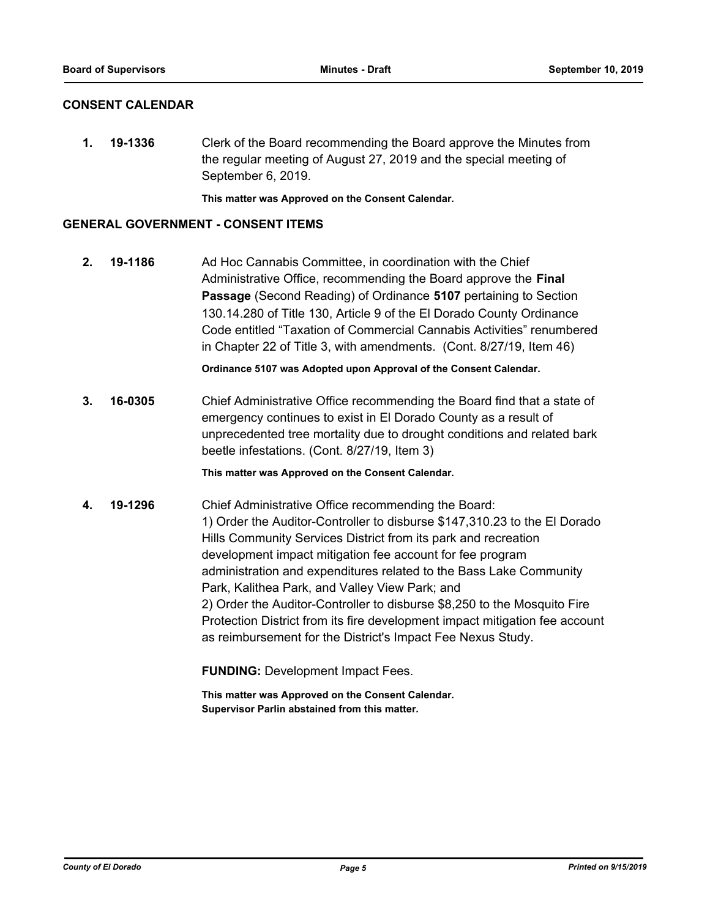### **CONSENT CALENDAR**

**1. 19-1336** Clerk of the Board recommending the Board approve the Minutes from the regular meeting of August 27, 2019 and the special meeting of September 6, 2019.

**This matter was Approved on the Consent Calendar.**

#### **GENERAL GOVERNMENT - CONSENT ITEMS**

**2. 19-1186** Ad Hoc Cannabis Committee, in coordination with the Chief Administrative Office, recommending the Board approve the **Final Passage** (Second Reading) of Ordinance **5107** pertaining to Section 130.14.280 of Title 130, Article 9 of the El Dorado County Ordinance Code entitled "Taxation of Commercial Cannabis Activities" renumbered in Chapter 22 of Title 3, with amendments. (Cont. 8/27/19, Item 46)

**Ordinance 5107 was Adopted upon Approval of the Consent Calendar.**

**3. 16-0305** Chief Administrative Office recommending the Board find that a state of emergency continues to exist in El Dorado County as a result of unprecedented tree mortality due to drought conditions and related bark beetle infestations. (Cont. 8/27/19, Item 3)

**This matter was Approved on the Consent Calendar.**

**4. 19-1296** Chief Administrative Office recommending the Board: 1) Order the Auditor-Controller to disburse \$147,310.23 to the El Dorado Hills Community Services District from its park and recreation development impact mitigation fee account for fee program administration and expenditures related to the Bass Lake Community Park, Kalithea Park, and Valley View Park; and 2) Order the Auditor-Controller to disburse \$8,250 to the Mosquito Fire Protection District from its fire development impact mitigation fee account as reimbursement for the District's Impact Fee Nexus Study.

**FUNDING: Development Impact Fees.** 

**This matter was Approved on the Consent Calendar. Supervisor Parlin abstained from this matter.**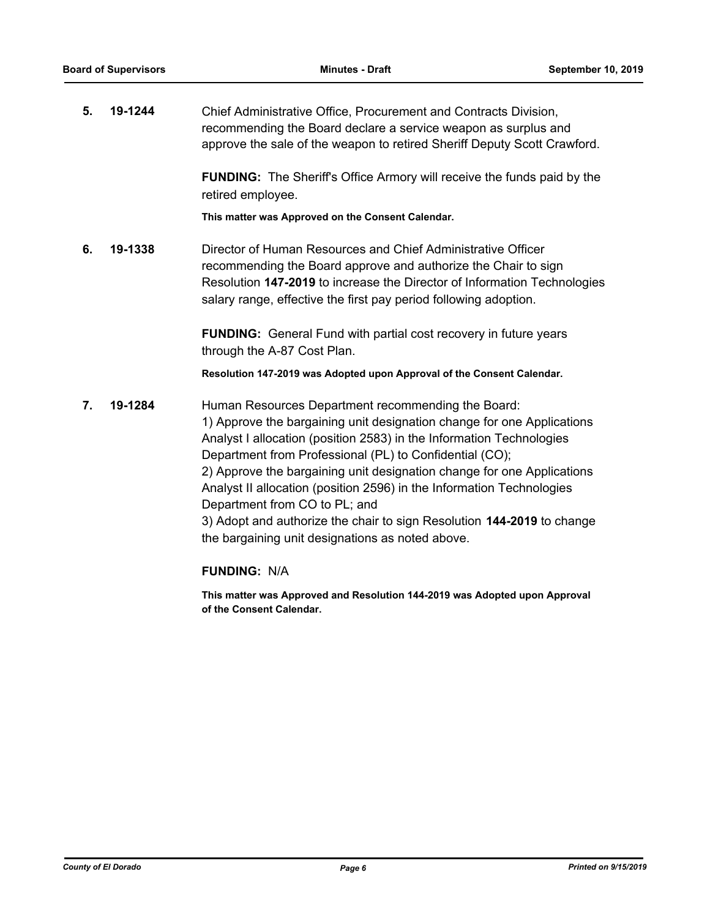**5. 19-1244** Chief Administrative Office, Procurement and Contracts Division, recommending the Board declare a service weapon as surplus and approve the sale of the weapon to retired Sheriff Deputy Scott Crawford.

> **FUNDING:** The Sheriff's Office Armory will receive the funds paid by the retired employee.

**This matter was Approved on the Consent Calendar.**

**6. 19-1338** Director of Human Resources and Chief Administrative Officer recommending the Board approve and authorize the Chair to sign Resolution **147-2019** to increase the Director of Information Technologies salary range, effective the first pay period following adoption.

> **FUNDING:** General Fund with partial cost recovery in future years through the A-87 Cost Plan.

> **Resolution 147-2019 was Adopted upon Approval of the Consent Calendar.**

**7. 19-1284** Human Resources Department recommending the Board: 1) Approve the bargaining unit designation change for one Applications Analyst I allocation (position 2583) in the Information Technologies Department from Professional (PL) to Confidential (CO); 2) Approve the bargaining unit designation change for one Applications Analyst II allocation (position 2596) in the Information Technologies Department from CO to PL; and 3) Adopt and authorize the chair to sign Resolution **144-2019** to change the bargaining unit designations as noted above.

## **FUNDING:** N/A

**This matter was Approved and Resolution 144-2019 was Adopted upon Approval of the Consent Calendar.**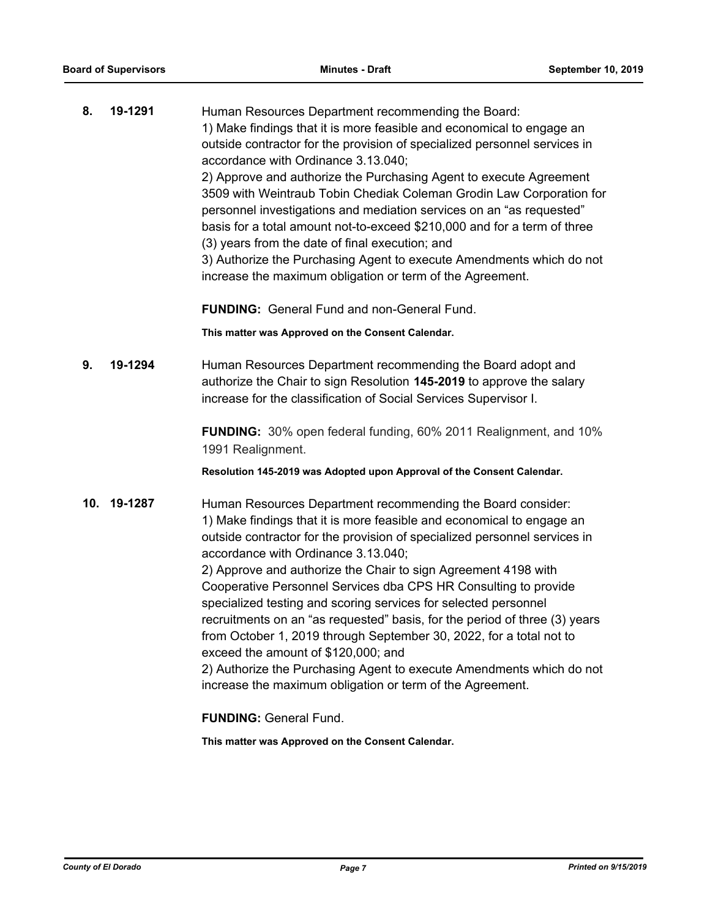| 8.  | 19-1291 | Human Resources Department recommending the Board:<br>1) Make findings that it is more feasible and economical to engage an<br>outside contractor for the provision of specialized personnel services in<br>accordance with Ordinance 3.13.040;<br>2) Approve and authorize the Purchasing Agent to execute Agreement<br>3509 with Weintraub Tobin Chediak Coleman Grodin Law Corporation for<br>personnel investigations and mediation services on an "as requested"<br>basis for a total amount not-to-exceed \$210,000 and for a term of three<br>(3) years from the date of final execution; and<br>3) Authorize the Purchasing Agent to execute Amendments which do not<br>increase the maximum obligation or term of the Agreement.                                                         |
|-----|---------|---------------------------------------------------------------------------------------------------------------------------------------------------------------------------------------------------------------------------------------------------------------------------------------------------------------------------------------------------------------------------------------------------------------------------------------------------------------------------------------------------------------------------------------------------------------------------------------------------------------------------------------------------------------------------------------------------------------------------------------------------------------------------------------------------|
|     |         | <b>FUNDING:</b> General Fund and non-General Fund.                                                                                                                                                                                                                                                                                                                                                                                                                                                                                                                                                                                                                                                                                                                                                |
|     |         | This matter was Approved on the Consent Calendar.                                                                                                                                                                                                                                                                                                                                                                                                                                                                                                                                                                                                                                                                                                                                                 |
| 9.  | 19-1294 | Human Resources Department recommending the Board adopt and<br>authorize the Chair to sign Resolution 145-2019 to approve the salary<br>increase for the classification of Social Services Supervisor I.                                                                                                                                                                                                                                                                                                                                                                                                                                                                                                                                                                                          |
|     |         | <b>FUNDING:</b> 30% open federal funding, 60% 2011 Realignment, and 10%<br>1991 Realignment.                                                                                                                                                                                                                                                                                                                                                                                                                                                                                                                                                                                                                                                                                                      |
|     |         | Resolution 145-2019 was Adopted upon Approval of the Consent Calendar.                                                                                                                                                                                                                                                                                                                                                                                                                                                                                                                                                                                                                                                                                                                            |
| 10. | 19-1287 | Human Resources Department recommending the Board consider:<br>1) Make findings that it is more feasible and economical to engage an<br>outside contractor for the provision of specialized personnel services in<br>accordance with Ordinance 3.13.040;<br>2) Approve and authorize the Chair to sign Agreement 4198 with<br>Cooperative Personnel Services dba CPS HR Consulting to provide<br>specialized testing and scoring services for selected personnel<br>recruitments on an "as requested" basis, for the period of three (3) years<br>from October 1, 2019 through September 30, 2022, for a total not to<br>exceed the amount of \$120,000; and<br>2) Authorize the Purchasing Agent to execute Amendments which do not<br>increase the maximum obligation or term of the Agreement. |
|     |         | <b>FUNDING: General Fund.</b>                                                                                                                                                                                                                                                                                                                                                                                                                                                                                                                                                                                                                                                                                                                                                                     |

**This matter was Approved on the Consent Calendar.**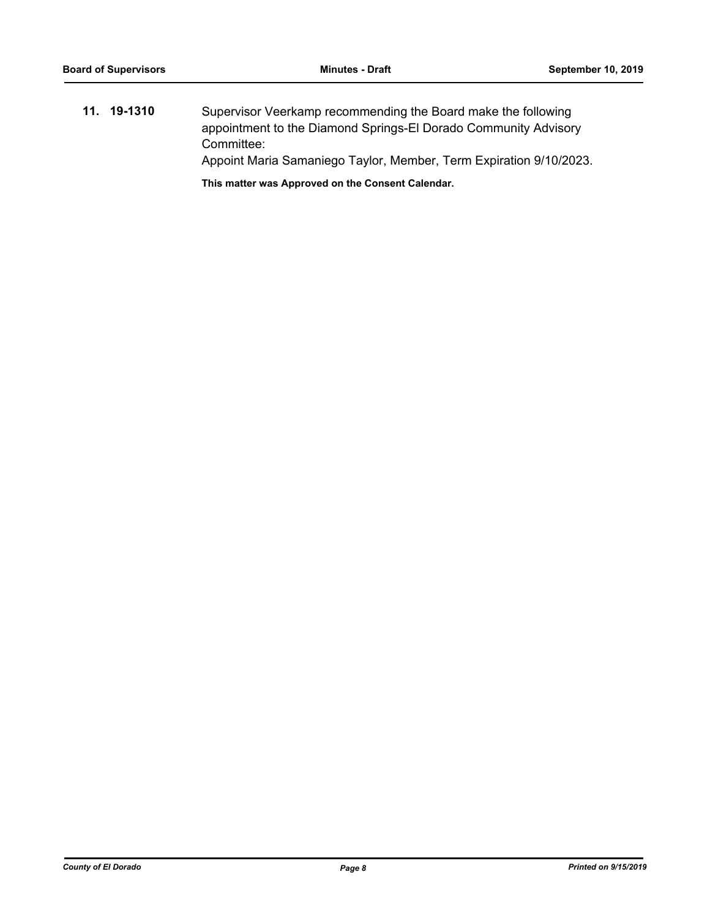**11. 19-1310** Supervisor Veerkamp recommending the Board make the following appointment to the Diamond Springs-El Dorado Community Advisory Committee: Appoint Maria Samaniego Taylor, Member, Term Expiration 9/10/2023.

**This matter was Approved on the Consent Calendar.**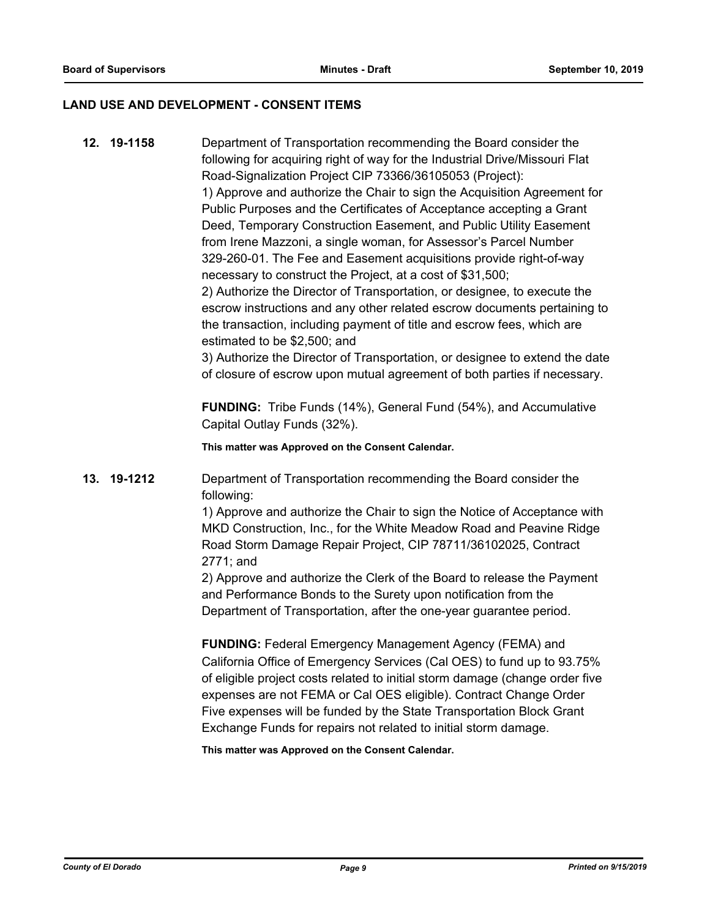#### **LAND USE AND DEVELOPMENT - CONSENT ITEMS**

**12. 19-1158** Department of Transportation recommending the Board consider the following for acquiring right of way for the Industrial Drive/Missouri Flat Road-Signalization Project CIP 73366/36105053 (Project): 1) Approve and authorize the Chair to sign the Acquisition Agreement for Public Purposes and the Certificates of Acceptance accepting a Grant Deed, Temporary Construction Easement, and Public Utility Easement from Irene Mazzoni, a single woman, for Assessor's Parcel Number 329-260-01. The Fee and Easement acquisitions provide right-of-way necessary to construct the Project, at a cost of \$31,500; 2) Authorize the Director of Transportation, or designee, to execute the escrow instructions and any other related escrow documents pertaining to the transaction, including payment of title and escrow fees, which are estimated to be \$2,500; and 3) Authorize the Director of Transportation, or designee to extend the date of closure of escrow upon mutual agreement of both parties if necessary. **FUNDING:** Tribe Funds (14%), General Fund (54%), and Accumulative Capital Outlay Funds (32%). **This matter was Approved on the Consent Calendar. 13. 19-1212** Department of Transportation recommending the Board consider the following: 1) Approve and authorize the Chair to sign the Notice of Acceptance with MKD Construction, Inc., for the White Meadow Road and Peavine Ridge Road Storm Damage Repair Project, CIP 78711/36102025, Contract 2771; and 2) Approve and authorize the Clerk of the Board to release the Payment and Performance Bonds to the Surety upon notification from the Department of Transportation, after the one-year guarantee period. **FUNDING:** Federal Emergency Management Agency (FEMA) and California Office of Emergency Services (Cal OES) to fund up to 93.75% of eligible project costs related to initial storm damage (change order five expenses are not FEMA or Cal OES eligible). Contract Change Order Five expenses will be funded by the State Transportation Block Grant Exchange Funds for repairs not related to initial storm damage. **This matter was Approved on the Consent Calendar.**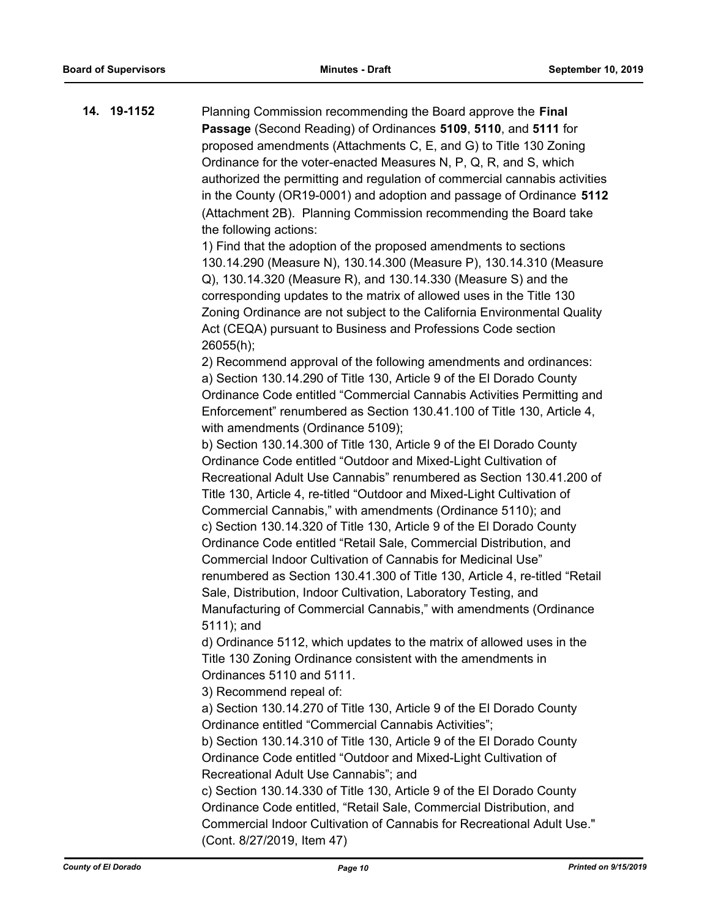**14. 19-1152** Planning Commission recommending the Board approve the **Final Passage** (Second Reading) of Ordinances **5109**, **5110**, and **5111** for proposed amendments (Attachments C, E, and G) to Title 130 Zoning Ordinance for the voter-enacted Measures N, P, Q, R, and S, which authorized the permitting and regulation of commercial cannabis activities in the County (OR19-0001) and adoption and passage of Ordinance **5112** (Attachment 2B). Planning Commission recommending the Board take the following actions:

> 1) Find that the adoption of the proposed amendments to sections 130.14.290 (Measure N), 130.14.300 (Measure P), 130.14.310 (Measure Q), 130.14.320 (Measure R), and 130.14.330 (Measure S) and the corresponding updates to the matrix of allowed uses in the Title 130 Zoning Ordinance are not subject to the California Environmental Quality Act (CEQA) pursuant to Business and Professions Code section 26055(h);

> 2) Recommend approval of the following amendments and ordinances: a) Section 130.14.290 of Title 130, Article 9 of the El Dorado County Ordinance Code entitled "Commercial Cannabis Activities Permitting and Enforcement" renumbered as Section 130.41.100 of Title 130, Article 4, with amendments (Ordinance 5109);

> b) Section 130.14.300 of Title 130, Article 9 of the El Dorado County Ordinance Code entitled "Outdoor and Mixed-Light Cultivation of Recreational Adult Use Cannabis" renumbered as Section 130.41.200 of Title 130, Article 4, re-titled "Outdoor and Mixed-Light Cultivation of Commercial Cannabis," with amendments (Ordinance 5110); and c) Section 130.14.320 of Title 130, Article 9 of the El Dorado County Ordinance Code entitled "Retail Sale, Commercial Distribution, and Commercial Indoor Cultivation of Cannabis for Medicinal Use" renumbered as Section 130.41.300 of Title 130, Article 4, re-titled "Retail Sale, Distribution, Indoor Cultivation, Laboratory Testing, and Manufacturing of Commercial Cannabis," with amendments (Ordinance 5111); and

d) Ordinance 5112, which updates to the matrix of allowed uses in the Title 130 Zoning Ordinance consistent with the amendments in Ordinances 5110 and 5111.

3) Recommend repeal of:

a) Section 130.14.270 of Title 130, Article 9 of the El Dorado County Ordinance entitled "Commercial Cannabis Activities";

b) Section 130.14.310 of Title 130, Article 9 of the El Dorado County Ordinance Code entitled "Outdoor and Mixed-Light Cultivation of Recreational Adult Use Cannabis"; and

c) Section 130.14.330 of Title 130, Article 9 of the El Dorado County Ordinance Code entitled, "Retail Sale, Commercial Distribution, and Commercial Indoor Cultivation of Cannabis for Recreational Adult Use." (Cont. 8/27/2019, Item 47)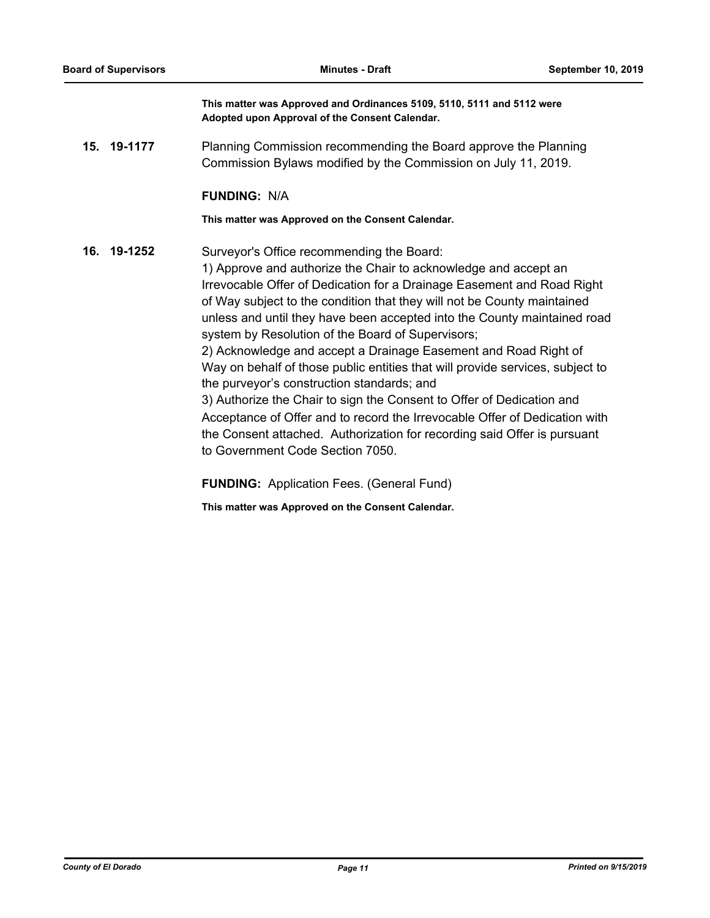**This matter was Approved and Ordinances 5109, 5110, 5111 and 5112 were Adopted upon Approval of the Consent Calendar.**

**15. 19-1177** Planning Commission recommending the Board approve the Planning Commission Bylaws modified by the Commission on July 11, 2019.

#### **FUNDING:** N/A

**This matter was Approved on the Consent Calendar.**

**16. 19-1252** Surveyor's Office recommending the Board: 1) Approve and authorize the Chair to acknowledge and accept an Irrevocable Offer of Dedication for a Drainage Easement and Road Right of Way subject to the condition that they will not be County maintained unless and until they have been accepted into the County maintained road system by Resolution of the Board of Supervisors; 2) Acknowledge and accept a Drainage Easement and Road Right of Way on behalf of those public entities that will provide services, subject to the purveyor's construction standards; and 3) Authorize the Chair to sign the Consent to Offer of Dedication and Acceptance of Offer and to record the Irrevocable Offer of Dedication with the Consent attached. Authorization for recording said Offer is pursuant to Government Code Section 7050.

**FUNDING:** Application Fees. (General Fund)

**This matter was Approved on the Consent Calendar.**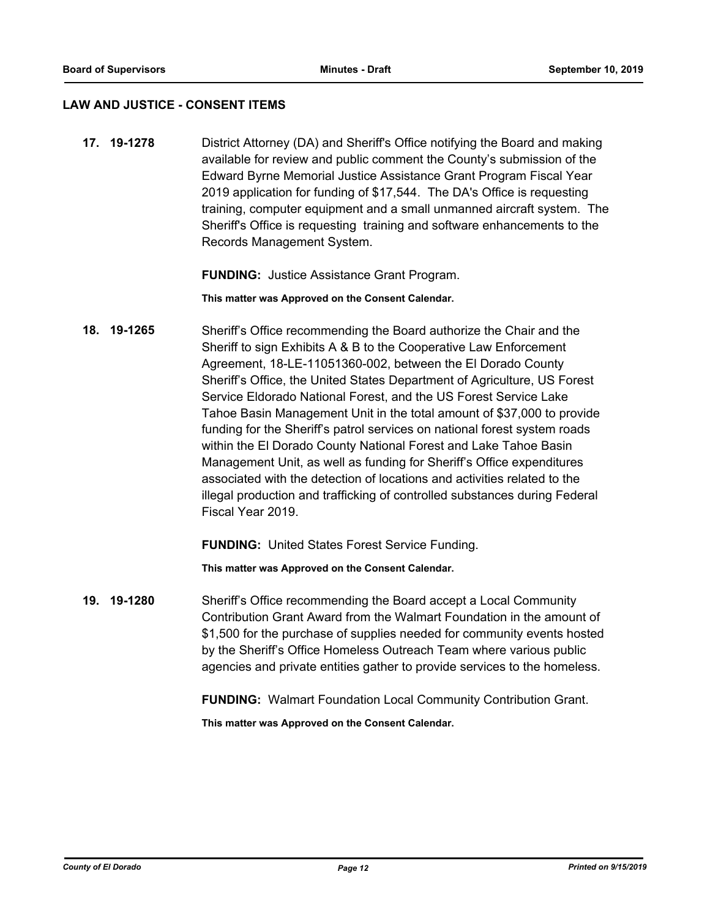#### **LAW AND JUSTICE - CONSENT ITEMS**

**17. 19-1278** District Attorney (DA) and Sheriff's Office notifying the Board and making available for review and public comment the County's submission of the Edward Byrne Memorial Justice Assistance Grant Program Fiscal Year 2019 application for funding of \$17,544. The DA's Office is requesting training, computer equipment and a small unmanned aircraft system. The Sheriff's Office is requesting training and software enhancements to the Records Management System.

**FUNDING:** Justice Assistance Grant Program.

**This matter was Approved on the Consent Calendar.**

**18. 19-1265** Sheriff's Office recommending the Board authorize the Chair and the Sheriff to sign Exhibits A & B to the Cooperative Law Enforcement Agreement, 18-LE-11051360-002, between the El Dorado County Sheriff's Office, the United States Department of Agriculture, US Forest Service Eldorado National Forest, and the US Forest Service Lake Tahoe Basin Management Unit in the total amount of \$37,000 to provide funding for the Sheriff's patrol services on national forest system roads within the El Dorado County National Forest and Lake Tahoe Basin Management Unit, as well as funding for Sheriff's Office expenditures associated with the detection of locations and activities related to the illegal production and trafficking of controlled substances during Federal Fiscal Year 2019.

**FUNDING:** United States Forest Service Funding.

**This matter was Approved on the Consent Calendar.**

**19. 19-1280** Sheriff's Office recommending the Board accept a Local Community Contribution Grant Award from the Walmart Foundation in the amount of \$1,500 for the purchase of supplies needed for community events hosted by the Sheriff's Office Homeless Outreach Team where various public agencies and private entities gather to provide services to the homeless.

**FUNDING:** Walmart Foundation Local Community Contribution Grant.

**This matter was Approved on the Consent Calendar.**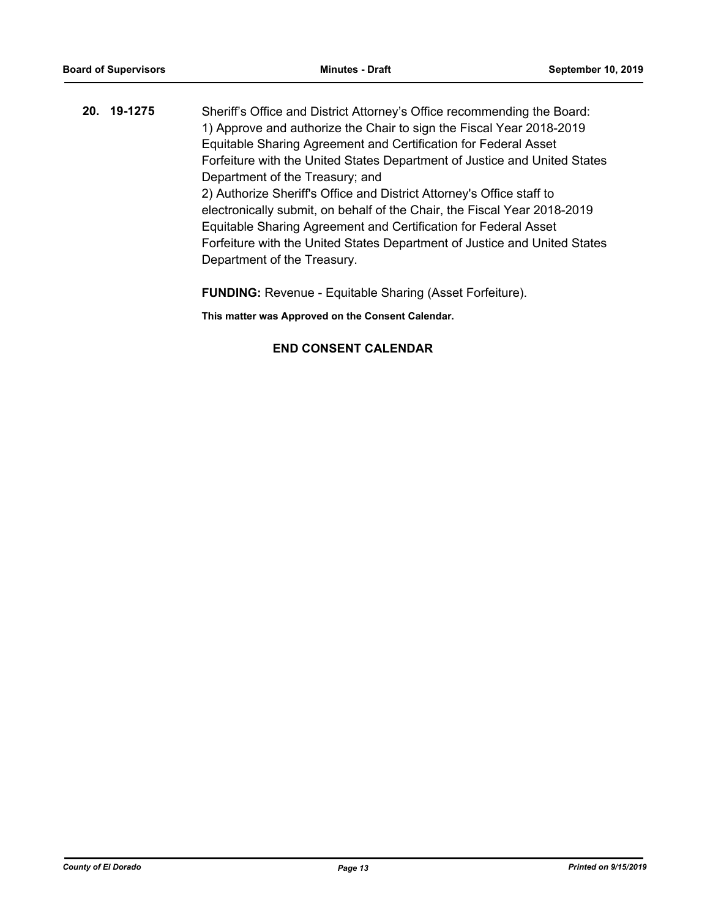**20. 19-1275** Sheriff's Office and District Attorney's Office recommending the Board: 1) Approve and authorize the Chair to sign the Fiscal Year 2018-2019 Equitable Sharing Agreement and Certification for Federal Asset Forfeiture with the United States Department of Justice and United States Department of the Treasury; and 2) Authorize Sheriff's Office and District Attorney's Office staff to electronically submit, on behalf of the Chair, the Fiscal Year 2018-2019 Equitable Sharing Agreement and Certification for Federal Asset Forfeiture with the United States Department of Justice and United States Department of the Treasury.

**FUNDING:** Revenue - Equitable Sharing (Asset Forfeiture).

**This matter was Approved on the Consent Calendar.**

## **END CONSENT CALENDAR**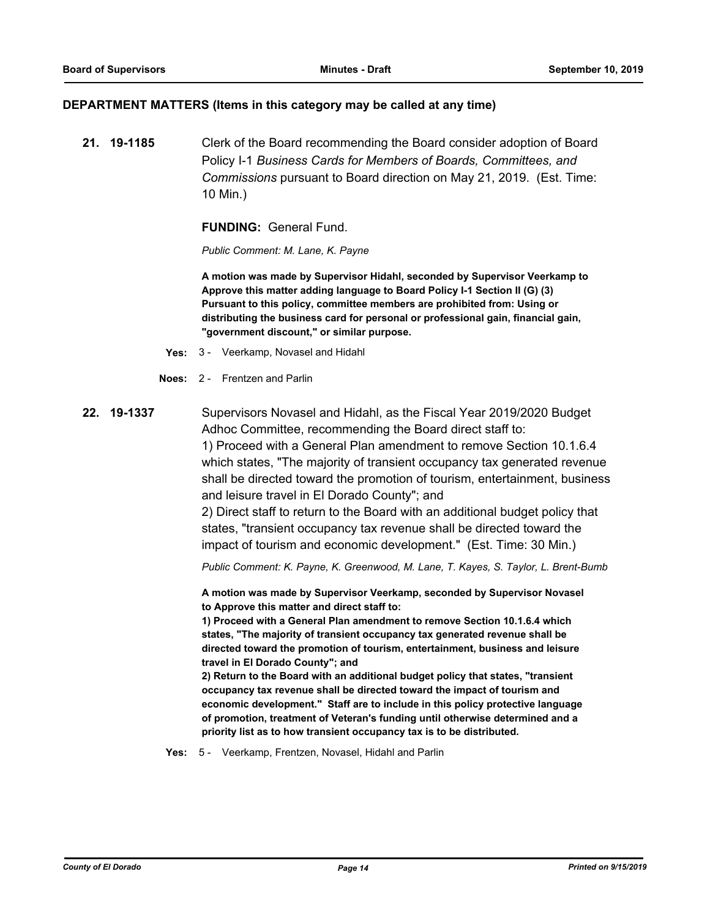#### **DEPARTMENT MATTERS (Items in this category may be called at any time)**

**21. 19-1185** Clerk of the Board recommending the Board consider adoption of Board Policy I-1 *Business Cards for Members of Boards, Committees, and Commissions* pursuant to Board direction on May 21, 2019. (Est. Time: 10 Min.)

**FUNDING:** General Fund.

*Public Comment: M. Lane, K. Payne*

**A motion was made by Supervisor Hidahl, seconded by Supervisor Veerkamp to Approve this matter adding language to Board Policy I-1 Section II (G) (3) Pursuant to this policy, committee members are prohibited from: Using or distributing the business card for personal or professional gain, financial gain, "government discount," or similar purpose.**

- **Yes:** 3 Veerkamp, Novasel and Hidahl
- **Noes:** 2 Frentzen and Parlin
- **22. 19-1337** Supervisors Novasel and Hidahl, as the Fiscal Year 2019/2020 Budget Adhoc Committee, recommending the Board direct staff to: 1) Proceed with a General Plan amendment to remove Section 10.1.6.4 which states, "The majority of transient occupancy tax generated revenue shall be directed toward the promotion of tourism, entertainment, business and leisure travel in El Dorado County"; and 2) Direct staff to return to the Board with an additional budget policy that states, "transient occupancy tax revenue shall be directed toward the impact of tourism and economic development." (Est. Time: 30 Min.) *Public Comment: K. Payne, K. Greenwood, M. Lane, T. Kayes, S. Taylor, L. Brent-Bumb*

**A motion was made by Supervisor Veerkamp, seconded by Supervisor Novasel to Approve this matter and direct staff to:**

**1) Proceed with a General Plan amendment to remove Section 10.1.6.4 which states, "The majority of transient occupancy tax generated revenue shall be directed toward the promotion of tourism, entertainment, business and leisure travel in El Dorado County"; and**

**2) Return to the Board with an additional budget policy that states, "transient occupancy tax revenue shall be directed toward the impact of tourism and economic development." Staff are to include in this policy protective language of promotion, treatment of Veteran's funding until otherwise determined and a priority list as to how transient occupancy tax is to be distributed.**

**Yes:** 5 - Veerkamp, Frentzen, Novasel, Hidahl and Parlin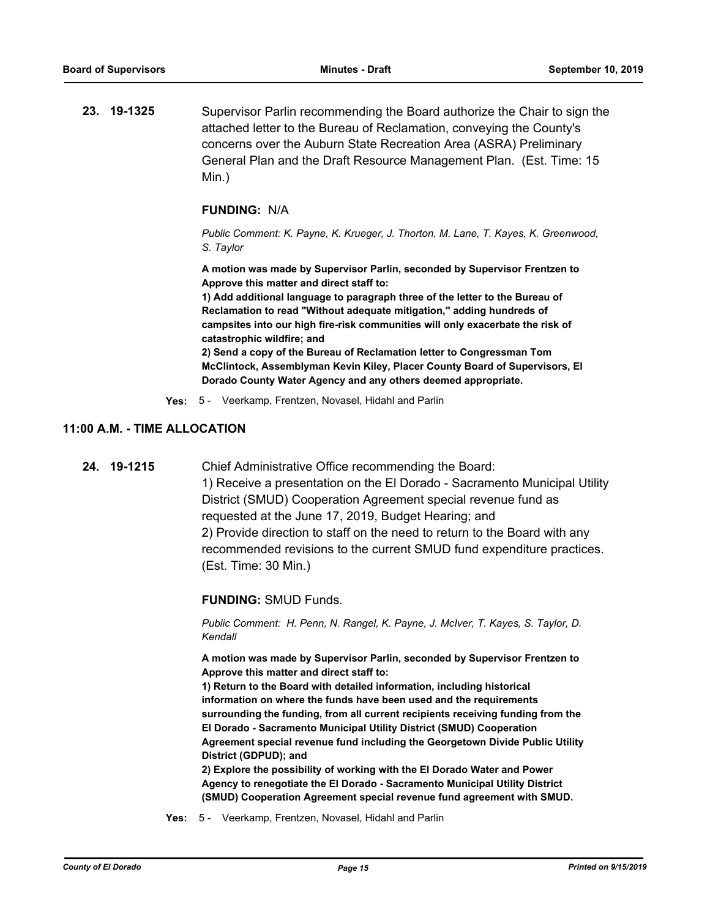**23. 19-1325** Supervisor Parlin recommending the Board authorize the Chair to sign the attached letter to the Bureau of Reclamation, conveying the County's concerns over the Auburn State Recreation Area (ASRA) Preliminary General Plan and the Draft Resource Management Plan. (Est. Time: 15 Min.)

#### **FUNDING:** N/A

*Public Comment: K. Payne, K. Krueger, J. Thorton, M. Lane, T. Kayes, K. Greenwood, S. Taylor*

**A motion was made by Supervisor Parlin, seconded by Supervisor Frentzen to Approve this matter and direct staff to:**

**1) Add additional language to paragraph three of the letter to the Bureau of Reclamation to read "Without adequate mitigation," adding hundreds of campsites into our high fire-risk communities will only exacerbate the risk of catastrophic wildfire; and**

**2) Send a copy of the Bureau of Reclamation letter to Congressman Tom McClintock, Assemblyman Kevin Kiley, Placer County Board of Supervisors, El Dorado County Water Agency and any others deemed appropriate.**

**Yes:** 5 - Veerkamp, Frentzen, Novasel, Hidahl and Parlin

## **11:00 A.M. - TIME ALLOCATION**

**24. 19-1215** Chief Administrative Office recommending the Board: 1) Receive a presentation on the El Dorado - Sacramento Municipal Utility District (SMUD) Cooperation Agreement special revenue fund as requested at the June 17, 2019, Budget Hearing; and 2) Provide direction to staff on the need to return to the Board with any recommended revisions to the current SMUD fund expenditure practices. (Est. Time: 30 Min.)

**FUNDING:** SMUD Funds.

*Public Comment: H. Penn, N. Rangel, K. Payne, J. McIver, T. Kayes, S. Taylor, D. Kendall*

**A motion was made by Supervisor Parlin, seconded by Supervisor Frentzen to Approve this matter and direct staff to:**

**1) Return to the Board with detailed information, including historical information on where the funds have been used and the requirements surrounding the funding, from all current recipients receiving funding from the El Dorado - Sacramento Municipal Utility District (SMUD) Cooperation Agreement special revenue fund including the Georgetown Divide Public Utility District (GDPUD); and**

**2) Explore the possibility of working with the El Dorado Water and Power Agency to renegotiate the El Dorado - Sacramento Municipal Utility District (SMUD) Cooperation Agreement special revenue fund agreement with SMUD.**

**Yes:** 5 - Veerkamp, Frentzen, Novasel, Hidahl and Parlin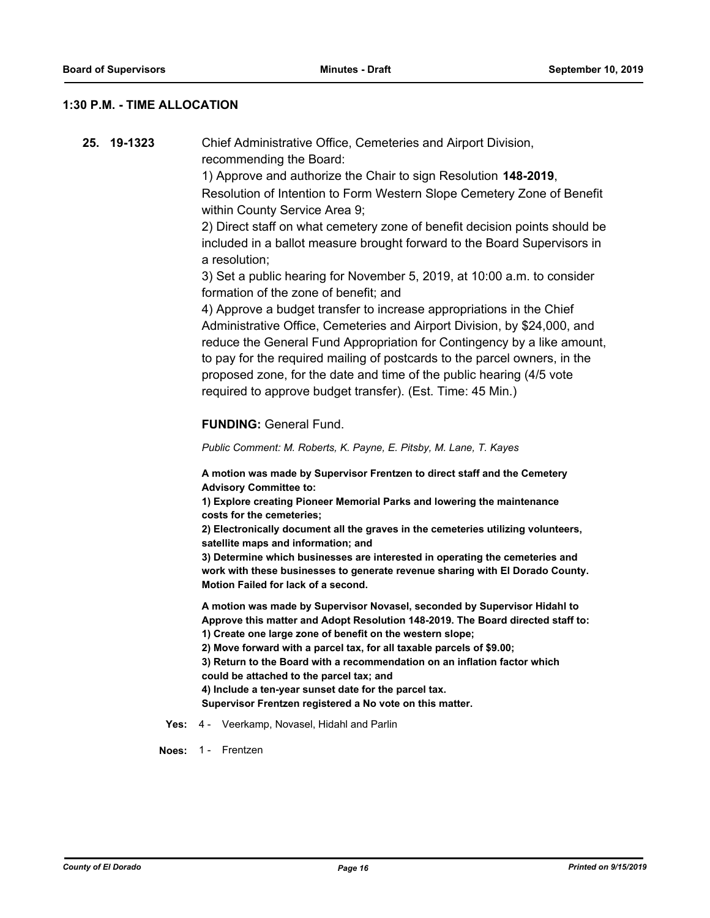#### **1:30 P.M. - TIME ALLOCATION**

**25. 19-1323** Chief Administrative Office, Cemeteries and Airport Division, recommending the Board:

> 1) Approve and authorize the Chair to sign Resolution **148-2019**, Resolution of Intention to Form Western Slope Cemetery Zone of Benefit within County Service Area 9;

> 2) Direct staff on what cemetery zone of benefit decision points should be included in a ballot measure brought forward to the Board Supervisors in a resolution;

3) Set a public hearing for November 5, 2019, at 10:00 a.m. to consider formation of the zone of benefit; and

4) Approve a budget transfer to increase appropriations in the Chief Administrative Office, Cemeteries and Airport Division, by \$24,000, and reduce the General Fund Appropriation for Contingency by a like amount, to pay for the required mailing of postcards to the parcel owners, in the proposed zone, for the date and time of the public hearing (4/5 vote required to approve budget transfer). (Est. Time: 45 Min.)

#### **FUNDING:** General Fund.

*Public Comment: M. Roberts, K. Payne, E. Pitsby, M. Lane, T. Kayes*

**A motion was made by Supervisor Frentzen to direct staff and the Cemetery Advisory Committee to:**

**1) Explore creating Pioneer Memorial Parks and lowering the maintenance costs for the cemeteries;**

**2) Electronically document all the graves in the cemeteries utilizing volunteers, satellite maps and information; and**

**3) Determine which businesses are interested in operating the cemeteries and work with these businesses to generate revenue sharing with El Dorado County. Motion Failed for lack of a second.**

**A motion was made by Supervisor Novasel, seconded by Supervisor Hidahl to Approve this matter and Adopt Resolution 148-2019. The Board directed staff to:**

**1) Create one large zone of benefit on the western slope;**

**2) Move forward with a parcel tax, for all taxable parcels of \$9.00;**

**3) Return to the Board with a recommendation on an inflation factor which could be attached to the parcel tax; and**

**4) Include a ten-year sunset date for the parcel tax.**

**Supervisor Frentzen registered a No vote on this matter.**

**Yes:** 4 - Veerkamp, Novasel, Hidahl and Parlin

**Noes:** 1 - Frentzen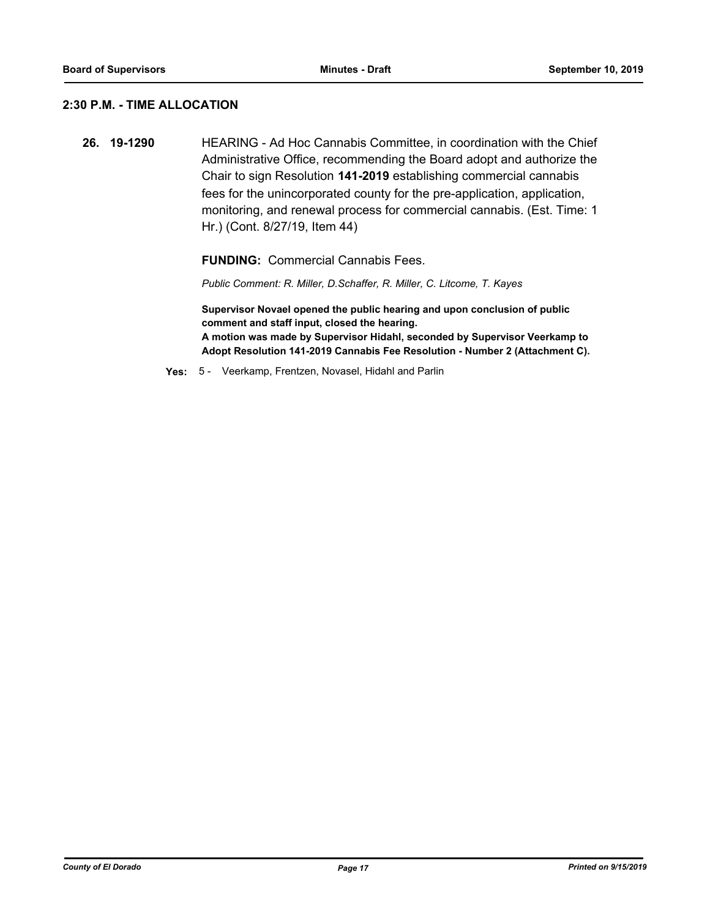## **2:30 P.M. - TIME ALLOCATION**

**26. 19-1290** HEARING - Ad Hoc Cannabis Committee, in coordination with the Chief Administrative Office, recommending the Board adopt and authorize the Chair to sign Resolution **141-2019** establishing commercial cannabis fees for the unincorporated county for the pre-application, application, monitoring, and renewal process for commercial cannabis. (Est. Time: 1 Hr.) (Cont. 8/27/19, Item 44)

**FUNDING:** Commercial Cannabis Fees.

*Public Comment: R. Miller, D.Schaffer, R. Miller, C. Litcome, T. Kayes*

**Supervisor Novael opened the public hearing and upon conclusion of public comment and staff input, closed the hearing. A motion was made by Supervisor Hidahl, seconded by Supervisor Veerkamp to Adopt Resolution 141-2019 Cannabis Fee Resolution - Number 2 (Attachment C).**

**Yes:** 5 - Veerkamp, Frentzen, Novasel, Hidahl and Parlin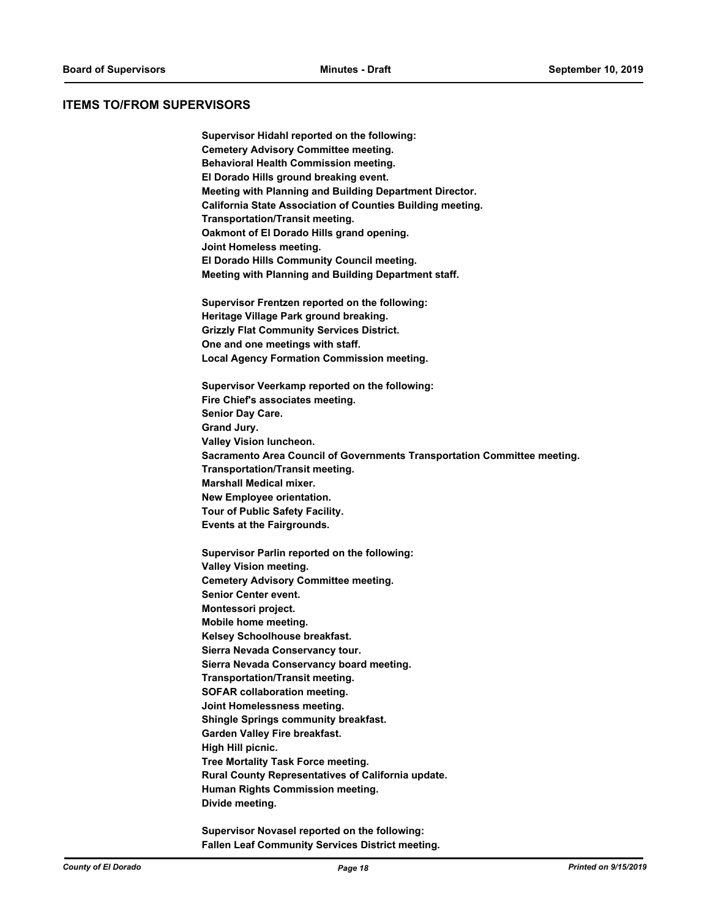#### **ITEMS TO/FROM SUPERVISORS**

**Supervisor Hidahl reported on the following: Cemetery Advisory Committee meeting. Behavioral Health Commission meeting. El Dorado Hills ground breaking event. Meeting with Planning and Building Department Director. California State Association of Counties Building meeting. Transportation/Transit meeting. Oakmont of El Dorado Hills grand opening. Joint Homeless meeting. El Dorado Hills Community Council meeting. Meeting with Planning and Building Department staff. Supervisor Frentzen reported on the following: Heritage Village Park ground breaking. Grizzly Flat Community Services District. One and one meetings with staff. Local Agency Formation Commission meeting. Supervisor Veerkamp reported on the following: Fire Chief's associates meeting. Senior Day Care. Grand Jury. Valley Vision luncheon. Sacramento Area Council of Governments Transportation Committee meeting. Transportation/Transit meeting. Marshall Medical mixer. New Employee orientation. Tour of Public Safety Facility. Events at the Fairgrounds. Supervisor Parlin reported on the following: Valley Vision meeting. Cemetery Advisory Committee meeting. Senior Center event. Montessori project. Mobile home meeting. Kelsey Schoolhouse breakfast. Sierra Nevada Conservancy tour. Sierra Nevada Conservancy board meeting. Transportation/Transit meeting. SOFAR collaboration meeting. Joint Homelessness meeting. Shingle Springs community breakfast. Garden Valley Fire breakfast. High Hill picnic. Tree Mortality Task Force meeting. Rural County Representatives of California update. Human Rights Commission meeting. Divide meeting.**

**Supervisor Novasel reported on the following: Fallen Leaf Community Services District meeting.**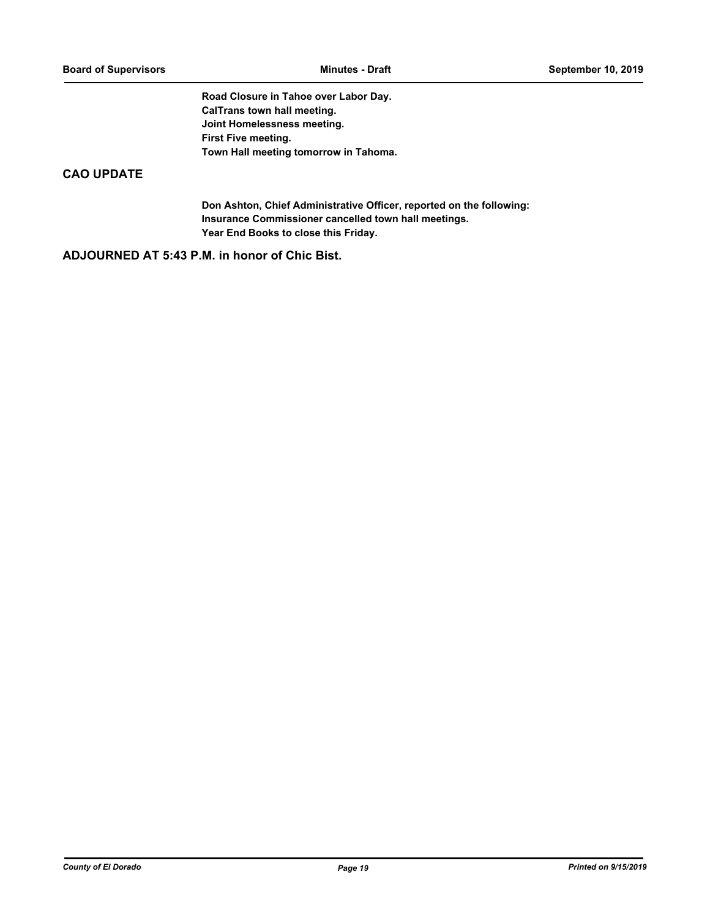**Road Closure in Tahoe over Labor Day. CalTrans town hall meeting. Joint Homelessness meeting. First Five meeting. Town Hall meeting tomorrow in Tahoma.**

## **CAO UPDATE**

**Don Ashton, Chief Administrative Officer, reported on the following: Insurance Commissioner cancelled town hall meetings. Year End Books to close this Friday.**

**ADJOURNED AT 5:43 P.M. in honor of Chic Bist.**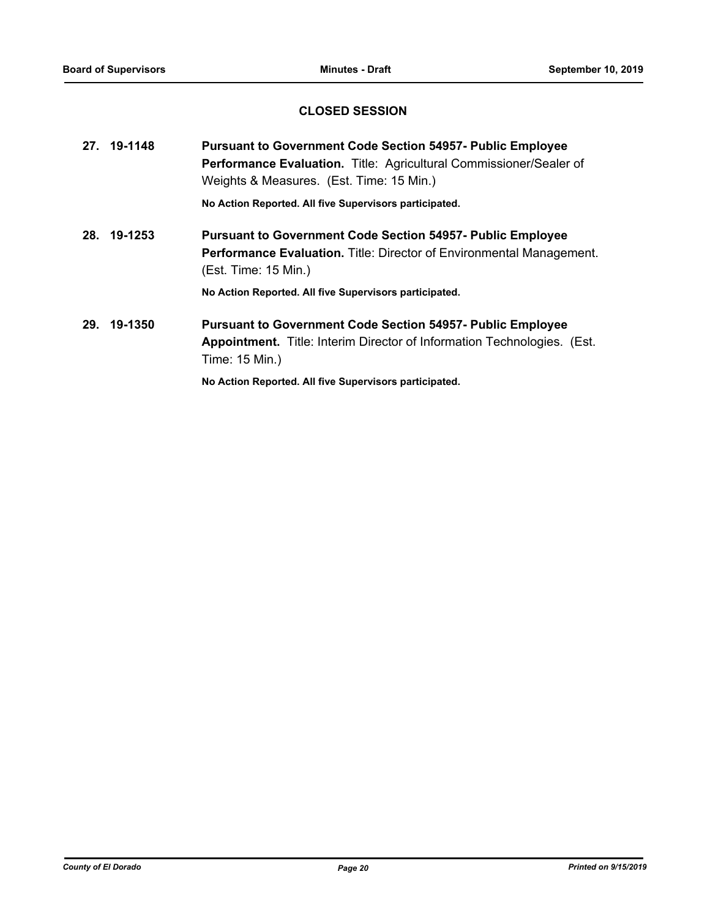## **CLOSED SESSION**

|     | 27. 19-1148 | <b>Pursuant to Government Code Section 54957- Public Employee</b><br>Performance Evaluation. Title: Agricultural Commissioner/Sealer of<br>Weights & Measures. (Est. Time: 15 Min.) |
|-----|-------------|-------------------------------------------------------------------------------------------------------------------------------------------------------------------------------------|
|     |             | No Action Reported. All five Supervisors participated.                                                                                                                              |
| 28. | 19-1253     | <b>Pursuant to Government Code Section 54957- Public Employee</b><br><b>Performance Evaluation.</b> Title: Director of Environmental Management.<br>(Est. Time: 15 Min.)            |
|     |             | No Action Reported. All five Supervisors participated.                                                                                                                              |
| 29. | 19-1350     | <b>Pursuant to Government Code Section 54957- Public Employee</b><br><b>Appointment.</b> Title: Interim Director of Information Technologies. (Est.<br>Time: 15 Min.)               |
|     |             | No Action Reported. All five Supervisors participated.                                                                                                                              |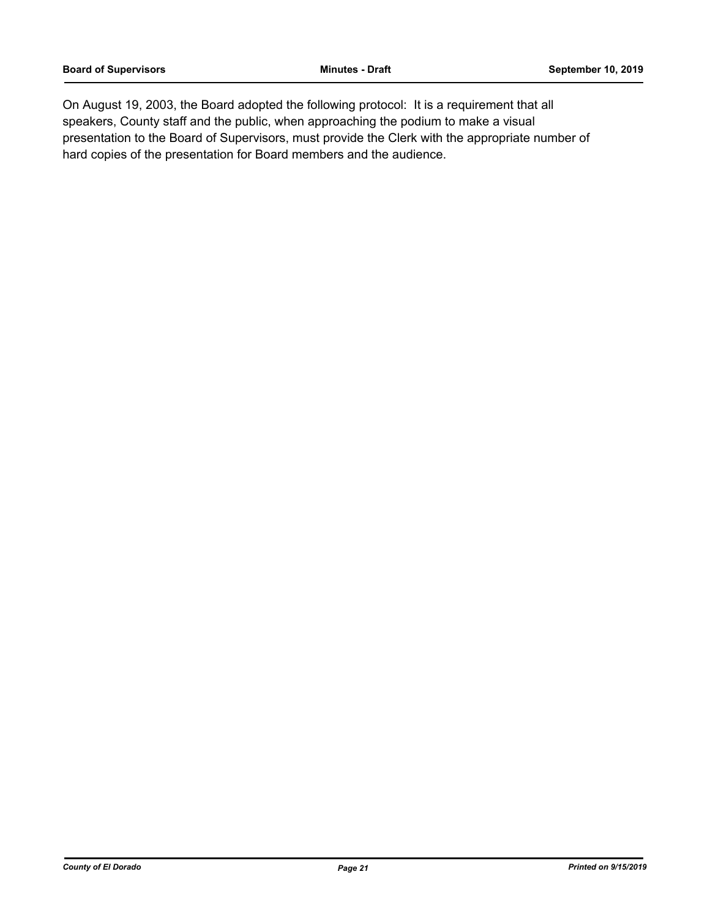On August 19, 2003, the Board adopted the following protocol: It is a requirement that all speakers, County staff and the public, when approaching the podium to make a visual presentation to the Board of Supervisors, must provide the Clerk with the appropriate number of hard copies of the presentation for Board members and the audience.